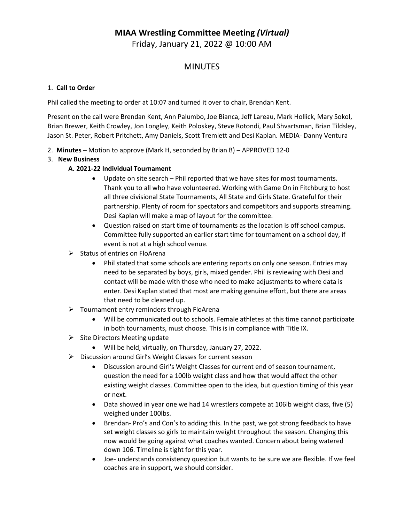# **MIAA Wrestling Committee Meeting** *(Virtual)*

Friday, January 21, 2022 @ 10:00 AM

## MINUTES

#### 1. **Call to Order**

Phil called the meeting to order at 10:07 and turned it over to chair, Brendan Kent.

Present on the call were Brendan Kent, Ann Palumbo, Joe Bianca, Jeff Lareau, Mark Hollick, Mary Sokol, Brian Brewer, Keith Crowley, Jon Longley, Keith Poloskey, Steve Rotondi, Paul Shvartsman, Brian Tildsley, Jason St. Peter, Robert Pritchett, Amy Daniels, Scott Tremlett and Desi Kaplan. MEDIA- Danny Ventura

- 2. **Minutes** Motion to approve (Mark H, seconded by Brian B) APPROVED 12-0
- 3. **New Business**

#### **A. 2021-22 Individual Tournament**

- Update on site search Phil reported that we have sites for most tournaments. Thank you to all who have volunteered. Working with Game On in Fitchburg to host all three divisional State Tournaments, All State and Girls State. Grateful for their partnership. Plenty of room for spectators and competitors and supports streaming. Desi Kaplan will make a map of layout for the committee.
- Question raised on start time of tournaments as the location is off school campus. Committee fully supported an earlier start time for tournament on a school day, if event is not at a high school venue.
- $\triangleright$  Status of entries on FloArena
	- Phil stated that some schools are entering reports on only one season. Entries may need to be separated by boys, girls, mixed gender. Phil is reviewing with Desi and contact will be made with those who need to make adjustments to where data is enter. Desi Kaplan stated that most are making genuine effort, but there are areas that need to be cleaned up.
- $\triangleright$  Tournament entry reminders through FloArena
	- Will be communicated out to schools. Female athletes at this time cannot participate in both tournaments, must choose. This is in compliance with Title IX.
- $\triangleright$  Site Directors Meeting update
	- Will be held, virtually, on Thursday, January 27, 2022.
- ▶ Discussion around Girl's Weight Classes for current season
	- Discussion around Girl's Weight Classes for current end of season tournament, question the need for a 100lb weight class and how that would affect the other existing weight classes. Committee open to the idea, but question timing of this year or next.
	- Data showed in year one we had 14 wrestlers compete at 106lb weight class, five (5) weighed under 100lbs.
	- Brendan- Pro's and Con's to adding this. In the past, we got strong feedback to have set weight classes so girls to maintain weight throughout the season. Changing this now would be going against what coaches wanted. Concern about being watered down 106. Timeline is tight for this year.
	- Joe- understands consistency question but wants to be sure we are flexible. If we feel coaches are in support, we should consider.